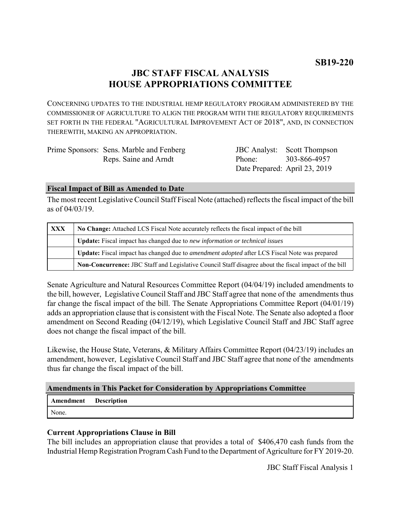## **JBC STAFF FISCAL ANALYSIS HOUSE APPROPRIATIONS COMMITTEE**

CONCERNING UPDATES TO THE INDUSTRIAL HEMP REGULATORY PROGRAM ADMINISTERED BY THE COMMISSIONER OF AGRICULTURE TO ALIGN THE PROGRAM WITH THE REGULATORY REQUIREMENTS SET FORTH IN THE FEDERAL "AGRICULTURAL IMPROVEMENT ACT OF 2018", AND, IN CONNECTION THEREWITH, MAKING AN APPROPRIATION.

| Prime Sponsors: Sens. Marble and Fenberg |                               | <b>JBC</b> Analyst: Scott Thompson |
|------------------------------------------|-------------------------------|------------------------------------|
| Reps. Saine and Arndt                    | Phone: 303-866-4957           |                                    |
|                                          | Date Prepared: April 23, 2019 |                                    |

#### **Fiscal Impact of Bill as Amended to Date**

The most recent Legislative Council Staff Fiscal Note (attached) reflects the fiscal impact of the bill as of 04/03/19.

| <b>XXX</b> | No Change: Attached LCS Fiscal Note accurately reflects the fiscal impact of the bill                       |  |
|------------|-------------------------------------------------------------------------------------------------------------|--|
|            | Update: Fiscal impact has changed due to new information or technical issues                                |  |
|            | <b>Update:</b> Fiscal impact has changed due to <i>amendment adopted</i> after LCS Fiscal Note was prepared |  |
|            | Non-Concurrence: JBC Staff and Legislative Council Staff disagree about the fiscal impact of the bill       |  |

Senate Agriculture and Natural Resources Committee Report (04/04/19) included amendments to the bill, however, Legislative Council Staff and JBC Staff agree that none of the amendments thus far change the fiscal impact of the bill. The Senate Appropriations Committee Report (04/01/19) adds an appropriation clause that is consistent with the Fiscal Note. The Senate also adopted a floor amendment on Second Reading (04/12/19), which Legislative Council Staff and JBC Staff agree does not change the fiscal impact of the bill.

Likewise, the House State, Veterans, & Military Affairs Committee Report (04/23/19) includes an amendment, however, Legislative Council Staff and JBC Staff agree that none of the amendments thus far change the fiscal impact of the bill.

## **Amendments in This Packet for Consideration by Appropriations Committee**

| <b>Amendment</b> Description |  |
|------------------------------|--|
| None.                        |  |

### **Current Appropriations Clause in Bill**

The bill includes an appropriation clause that provides a total of \$406,470 cash funds from the Industrial Hemp Registration Program Cash Fund to the Department of Agriculture for FY 2019-20.